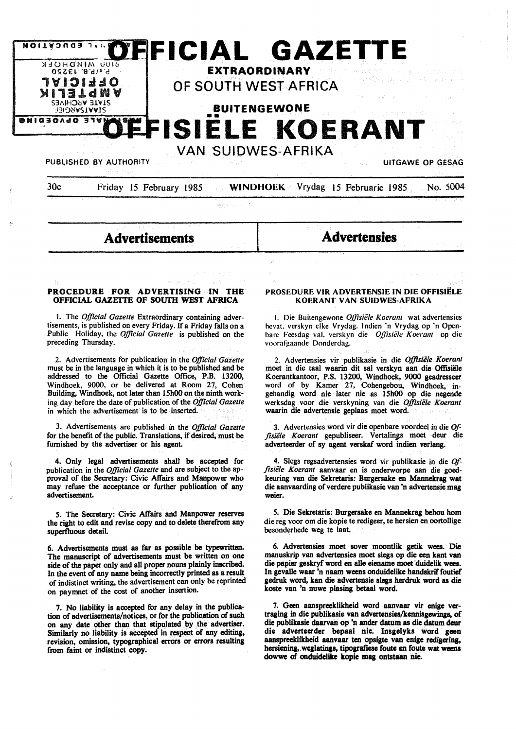

| 30c | Friday 15 February 1985 | <b>WINDHOEK</b> Vrydag 15 Februarie 1985 No. 5004 |  |  |
|-----|-------------------------|---------------------------------------------------|--|--|
|     |                         |                                                   |  |  |

 $\mathcal{G}$ 

wakes on a

**Advertisements** 

**Advertensies** 

### **PROCEDURE FOR ADVERTISING IN THE OFFICIAL GAZEITE OF SOUTH WEST AFRICA**

I. The *Official Gazette* Extraordinary containing advertisements, is published on every Friday. If a Friday falls on a Public Holiday, the *Official Gazette* is published on the preceding Thursday.

2. Advertisements for publication in the *Official Gazette*  must be in the **language** in which it is to be published **and be**  addressed to the Official Gazette Office, P.B. 13200, Windhoek, 9000, or be delivered at Room 27, Cohen Building, Windhoek, not later than 15h00 on the ninth working day before the date of publication of the *Official Gazette*  in which the advertisement is to be inserted.

3. Advertisements are published in the *Official Gazette*  for the benefit of the public. Translations, if desired, must be furnished by the advertiser or his agent.

4. Only legal advertisements shalt be accepted for publication in the *Official Gazette* and are subject to the approval of the Secretary: Civic Affairs and Manpower who may refuse the acceptance or further publication of any advertisement.

*5.* The Secretary: Civic Affairs and Manpower reserves the right to edit and revise copy and to delete therefrom any superfluous detail.

6. Advertisements must as far as possible be typewritten. The manuscript of advertisements must be written on one side of the paper only and all proper nouns plainly inscribed. In the event of any name being incorrectly printed as a result of indistinct writing, the advertisement can only be reprinted on paymnet of the cost of another insertion.

7. **No liability is accepted** for **any delay** in **the publica**tion of **advertisements/notices,** or for **the publication of such**  on **any date other than that stipulated by the advertiser. Similarly no liability is accepted** in **respect of any editing, revision, omission, typographical errors or errors resulting from faint** or **indistinct copy.** 

### **PROSEDURE VIR ADVERTENSIE IN DIE OFFISIELE KOERANT VAN SUIDWES-AFRIKA**

I. Die Buitengewone *Oj}isiele Koerant* wat advertensies hcval. verskyn elke Vrydag. lndien ·n Vrydag op ·n Openbare Feesdag val. verskyn die *Offisiële Koerant* op die voorafgaande Donderdag.

2. Advertensies vir publikasie in die *Offisiele Koerant*  moet in die taal waarin dit sal verskyn aan die Offisiële Koerantkantoor, **P.S.** 13200, Windhoek, **9000 geadresseer**  word of by Kamer 27, Cohengebou, Windhoek, ingehandig word nie later nie as 15h00 op die negende werksdag voor die verskyning van die *Offisiele Koerant*  waarin die advertensie geplaas moet word.

3. Advertensies word vir die openbare voordeel in die *Of*fisiële Koerant gepubliseer. Vertalings moet deur die adverteerder of sy agent verskaf word indien verlang.

4. Slegs regsadvertensies word vir publikasie in die *Of- .fisiele Koerant* aanvaar en is onderworpe aan die goedkeuring van die Sekretaris: Burgersake en Mannekrag wat die aanvaarding of verdere publikasie van 'n advertensie mag **weier.** 

*5.* Die Sekretaris: Burgersake en Mannekrag behou horn die reg voor om die kopie te redigeer, te hersien en oortollige besonderhede weg te laat.

6. Advertensies moet sover moontlik getik wees. Die manuskrip van advertensies moet slegs op die een kant van die papier geskryf word en alle eiename moet duidelik wees. In gevalle waar 'n naam weens onduidelike handskrif foutief gedruk word, kan die advertensie slegs herdruk word as die koste van 'n nuwe plasing betaal word.

7. Geen aanspreeklikheid word aanvaar vir enige vertraging in die publikasie van advertensies/kennisgewings, of die publikasie daarvan op 'n ander datum as die datum deur die adverteerder bepaal nie. Insgelyks word geen aanspreeklikheid aanvaar ten opsigte van enige redigering, hersiening, weglatings, tipografiese foute en foute wat weens dowwe of onduidelike kopie mag ontstaan nie.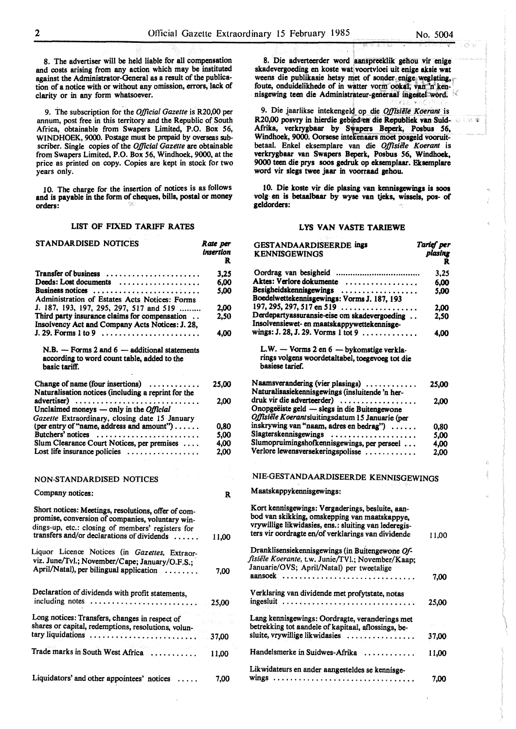8. The advertiser will be held liable for all compensation and costs **arising** from any action which may be instituted against the Administrator-General as a result of the publication of a notice with or without any omission, errors, lack of clarity or in any form whatsoever.

9. The subscription for.the *Official Gazette* is R20,00 per annum, post free in this territory and the Republic of South Africa, obtainable from Swapers Limited, P.O. Box *56,*  WINDHOEK, 9000. Postage must be prepaid by overseas subscriber. Single copies of the *Official Gazttte* are obtainable from Swapers Limited, P.O. Box *56,* Windhoek, 9000, at the price as printed on copy. Copies are kept in stock for two years only.

1 0. The charge for the insertion of notices is as follows and is payable in the form of cheques, bills, postal or money orders:

## LIST OF FIXED TARIFF RATES

| STANDARDISED NOTICES                                                                                                                                                                                       | Rate per<br>insertion<br>R |
|------------------------------------------------------------------------------------------------------------------------------------------------------------------------------------------------------------|----------------------------|
| <b>Transfer of business</b><br>Deeds: Lost documents                                                                                                                                                       | 3.25<br>6.00               |
| Business notices<br>Administration of Estates Acts Notices: Forms                                                                                                                                          | 5.00                       |
| J. 187, 193, 197, 295, 297, 517 and 519                                                                                                                                                                    | 2.00                       |
| Third party insurance claims for compensation<br>Insolvency Act and Company Acts Notices: J. 28,<br>$J. 29.$ Forms 1 to 9                                                                                  | 2,50<br>4,00               |
| $N.B. -$ Forms 2 and 6 - additional statements<br>according to word count table, added to the<br>basic tariff.                                                                                             |                            |
| Change of name (four insertions)<br>Naturalisation notices (including a reprint for the                                                                                                                    | 25,00                      |
| advertiser)<br>Unclaimed moneys $-$ only in the <i>Official</i>                                                                                                                                            | 2.00                       |
| Gazette Extraordinary, closing date 15 January<br>(per entry of "name, address and amount")                                                                                                                | 0,80                       |
| Butchers' notices                                                                                                                                                                                          | 5.00                       |
| Slum Clearance Court Notices, per premises                                                                                                                                                                 | 4,00                       |
| Lost life insurance policies $\dots\dots\dots\dots\dots\dots$                                                                                                                                              | 2.00                       |
|                                                                                                                                                                                                            |                            |
| NON-STANDARDISED NOTICES                                                                                                                                                                                   |                            |
| Company notices:                                                                                                                                                                                           | R                          |
| Short notices: Meetings, resolutions, offer of com-<br>promise, conversion of companies, voluntary win-<br>dings-up, etc.: closing of members' registers for<br>transfers and/or declarations of dividends | 11,00                      |
|                                                                                                                                                                                                            |                            |
| Liquor Licence Notices (in Gazettes, Extraor-<br>viz. June/Tvl.; November/Cape; January/O.F.S.;<br>April/Natal), per bilingual application                                                                 | 7,00                       |
| Declaration of dividends with profit statements,<br>including notes                                                                                                                                        | 25,00                      |
| Long notices: Transfers, changes in respect of<br>shares or capital, redemptions, resolutions, volun-                                                                                                      |                            |
| tary liquidations                                                                                                                                                                                          | 37,00                      |
| Trade marks in South West Africa                                                                                                                                                                           | 11,00                      |
| Liquidators' and other appointees' notices                                                                                                                                                                 | 7,00                       |

8. Die adverteerder word aanspreeklik gebou vit enige skadevergoeding en koste wat voortvloei uit enige aksie wat weens die publikasie hetsy met of sonder enige weglating, foute, onduidelikhede of in watter vorm ookal, van 'n kennisgewing teen die Administrateur-generaal ingestel-word.

9. Die jaarlikse intekengeld op die *Offtsiële Koerant* is R20,00 posvry in hierdie gebied en die Republiek van Suid-Afrika, verkrygbaar by Swapers Beperk, Posbus 56, Windhoek, 9000. Oorsese intekenaars moet posgeld vooruitbetaal. Enkel eksemplare van die *Offisiele Koerant* is verkrygbaar van Swapers Beperk, Posbus 56, Windhoek, 9000 teen die prys soos gedruk op eksemplaar. Eksemplare word vir slegs twee jaar in voorraad gehou.

10. Die koste vir die plasing van kennisgewings is soos volg en is betaalbaar by wyse van tjeks, wissels, pos- of geldorders:

### LYS VAN VASTE TARIEWE

GEST ANDAARDISEERDE ings

| <b>KENNISGEWINGS</b>                                                                                                                                                                                             | plasing<br>R |
|------------------------------------------------------------------------------------------------------------------------------------------------------------------------------------------------------------------|--------------|
| Oordrag van besigheid                                                                                                                                                                                            | 3,25         |
| Aktes: Verlore dokumente                                                                                                                                                                                         | 6.00         |
| Besigheidskennisgewings<br>Boedelwettekennisgewings: Vorms J. 187, 193                                                                                                                                           | 5.00         |
| $197, 295, 297, 517$ en $519$                                                                                                                                                                                    | 2.00         |
| Derdepartyassuransie-eise om skadevergoeding<br>Insolvensiewet- en maatskappywettekennisge-                                                                                                                      | 2,50         |
| wings: J. 28, J. 29. Vorms 1 tot 9                                                                                                                                                                               | 4,00         |
| L.W. - Vorms 2 en 6 - bykomstige verkla-                                                                                                                                                                         |              |
| rings volgens woordetaltabel, toegevoeg tot die<br>basiese tarief.                                                                                                                                               |              |
| Naamsverandering (vier plasings)<br>Naturalisasiekennisgewings (insluitende 'n her-                                                                                                                              | 25,00        |
| druk vir die adverteerder)                                                                                                                                                                                       | 2.00         |
| Onopgeëiste geld — slegs in die Buitengewone<br>Offisiële Koerantsluitingsdatum 15 Januarie (per                                                                                                                 |              |
| inskrywing van "naam, adres en bedrag")                                                                                                                                                                          | 0,80         |
| Slagterskennisgewings                                                                                                                                                                                            | 5,00         |
| Slumopruimingshofkennisgewings, per perseel                                                                                                                                                                      | 4,00         |
| Verlore lewensversekeringspolisse                                                                                                                                                                                | 2.00         |
|                                                                                                                                                                                                                  |              |
| NIE-GESTANDAARDISEERDE KENNISGEWINGS                                                                                                                                                                             |              |
| Maatskappykennisgewings:                                                                                                                                                                                         |              |
| Kort kennisgewings: Vergaderings, besluite, aan-<br>bod van skikking, omskepping van maatskappye,<br>vrywillige likwidasies, ens.: sluiting van lederegis-<br>ters vir oordragte en/of verklarings van dividende | 11.00        |
| Dranklisensiekennisgewings (in Buitengewone Of-<br>fisiële Koerante, t.w. Junie/TVI.; November/Kaap;<br>Januarie/OVS; April/Natal) per tweetalige                                                                |              |
| aansoek                                                                                                                                                                                                          | 7.00         |
| Verklaring van dividende met profytstate, notas                                                                                                                                                                  |              |
| ingesluit                                                                                                                                                                                                        | 25,00        |
| Lang kennisgewings: Oordragte, veranderings met<br>betrekking tot aandele of kapitaal, aflossings, be-                                                                                                           |              |
| sluite, vrywillige likwidasies                                                                                                                                                                                   | 37,00        |
| Handelsmerke in Suidwes-Afrika                                                                                                                                                                                   | 11,00        |
| Likwidateurs en ander aangesteldes se kennisge-                                                                                                                                                                  |              |
|                                                                                                                                                                                                                  | 7,00         |

行政機

*Tarief per*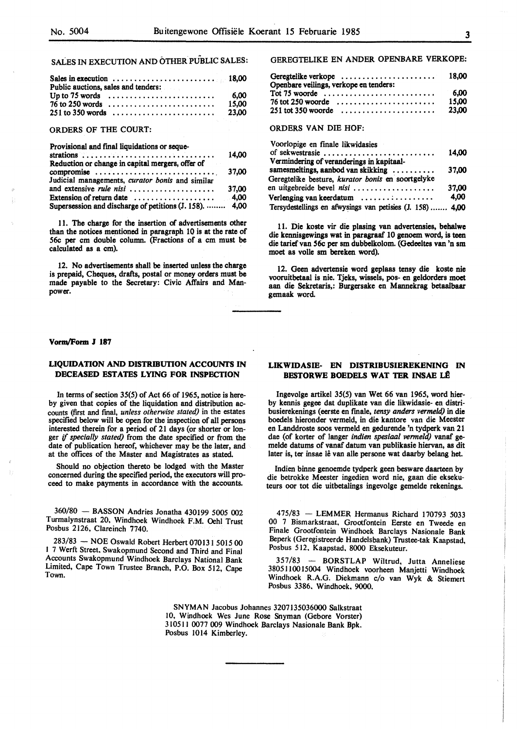SALES IN EXECUTION AND OTHER PUBLIC SALES:

| Sales in execution $\ldots \ldots \ldots \ldots \ldots \ldots \ldots \ldots$ 18,00<br>Public auctions, sales and tenders: |       |
|---------------------------------------------------------------------------------------------------------------------------|-------|
| Up to 75 words $\dots \dots \dots \dots \dots \dots \dots \dots$                                                          | 6.00  |
| $76$ to 250 words                                                                                                         | 15.00 |
|                                                                                                                           | 23.00 |

### ORDERS OF THE COURT:

Provisional and final liquidations or seque-

|                                                                     | 14.00 |
|---------------------------------------------------------------------|-------|
| Reduction or change in capital mergers, offer of                    |       |
| compromise                                                          | 37.00 |
| Judicial managements, curator bonis and similar                     |       |
| and extensive rule nisi                                             | 37.00 |
| Extension of return date $\dots \dots \dots \dots \dots \dots$ 4,00 |       |
| Supersession and discharge of petitions (J. 158).  4,00             |       |

11. The charge for the insertion of advertisements other than the notices mentioned in paragraph 10 is at the rate of *56c* per cm double column. (Fractions of a cm must be calculated as a cm).

12. No advertisements shall be inserted unless the charge is prepaid, Cheques, drafts, postal or money orders must be made payable to the Secretary: Civic Affairs and Manpower.

#### **Vorm/Form J 187**

# **LIQUIDATION AND DISTRIBUTION ACCOUNI'S IN DECEASED ESTATES LYING FOR INSPECTION**

In terms of section 35(5) of Act 66 of 1965, notice is hereby given that copies of the liquidation and distribution accounts (first and final, *unless othenvise stated)* in the estates specified below will be open for the inspection of all persons interested therein for a period of 21 days (or shorter or longer if *specially stated)* from the date specified or from the date of publication hereof, whichever may be the later, and at the offices of the Master and Magistrates as stated.

Should no objection thereto be lodged with the Master concerned during the specified period, the executors will proceed to make payments in accordance with the accounts.

360/80 - BASSON Andries Jonatha 430199 *5005* 002 Turmalynstraat 20, Windhoek Windhoek F.M. Oehl Trust Posbus 2126, Clareinch 7740.

283/83 - NOE Oswald Robert Herbert 070131 5015 00 1 7 Werft Street, Swakopmund Second and Third and Final Accounts Swakopmund Windhoek Barclays National Bank Limited, Cape Town Trustee Branch, P.O. Box 512, Cape Town.

GEREGTELIKE EN ANDER OPENBARE VERKOPE:

| Geregtelike verkope<br>Openbare veilings, verkope en tenders: | 18.00 |
|---------------------------------------------------------------|-------|
|                                                               | 6.00  |
| $76$ tot 250 woorde                                           | 15.00 |
| $251$ tot 350 woorde                                          | 23.00 |

ORDERS VAN DIE HOF:

| Voorlopige en finale likwidasies                          |       |
|-----------------------------------------------------------|-------|
| of sekwestrasie                                           | 14,00 |
| Vermindering of veranderings in kapitaal-                 |       |
| samesmeltings, aanbod van skikking                        | 37.00 |
| Geregtelike besture, kurator bonis en soortgelyke         |       |
| en uitgebreide bevel nist                                 | 37.00 |
| Verlenging van keerdatum                                  | 4,00  |
| Tersydestellings en afwysings van petisies (J. 158)  4,00 |       |

11. Die koste vir die plasing van advertensies, bebalwe die kennisgewings wat in paragraaf 10 genoem word, is teen die tarief van *56c* per sm dubbelkolom. (Gedeeltes van 'n sm moet as voile sm bereken word).

12. Geen advertensie word geplaas tensy die koste nie vooruitbetaal is nie. Tjeks, wissels, pos- en geldorders moet aan die Sekretaris,: Burgersake en Mannekrag betaalbaar gemaak word.

## **LIKWIDASIE- EN DISTRIBUSIEREKENING** IN **BESTORWE BOEDELS WAT TER INSAE LÊ**

Ingevolge artikel 35(5) van Wet 66 van 1965, word bierby kennis gegee dat duplikate van die likwidasie- en distribusierekenings (eerste en fmale, *tensy anders vermeld)* in die boedels hieronder vermeld, in die kantore van die Meester en Landdroste soos vermeld en gedurende 'n tydperk van 21 dae (of korter of !anger *indien spesiaal venneld)* vanaf gemelde datums of vanaf datum van publikasie hiervan, as dit later is, ter insae lê van alle persone wat daarby belang het.

Indien binne genoemde tydperk geen besware daarteen by die betrokke Meester ingedien word nie, gaan die eksekuteurs oor tot die uitbetalings ingevolge gemelde rekenings.

475/83 - **LEMMER** Hermanus Richard 170793 5033 00 7 Bismarkstraat. Grootfontein Eerste en Tweede en Finale Grootfontein Windhoek Barclays Nasionale Bank Beperk (Geregistreerde Handelsbank) Trustee-tak Kaapstad, Posbus 512. Kaapstad. 8000 Eksekuteur.

357/83 - BORSTLAP Wiltrud, Jutta Anneliese 3805 I I 0015004 Windhoek voorheen Manjetti Windhoek Windhoek R.A.G. Diekmann c/o van Wyk & Stiemert Posbus 3386. Windhoek. 9000.

**SNYMAN** Jacobus Johannes 3207135036000 Salkstraat 10, Windhoek Wes June Rose Snyman (Gebore Vorster) 310511 0077 009 Windhoek Barclays Nasionale Bank Bpk. Posbus 1014 Kimberley.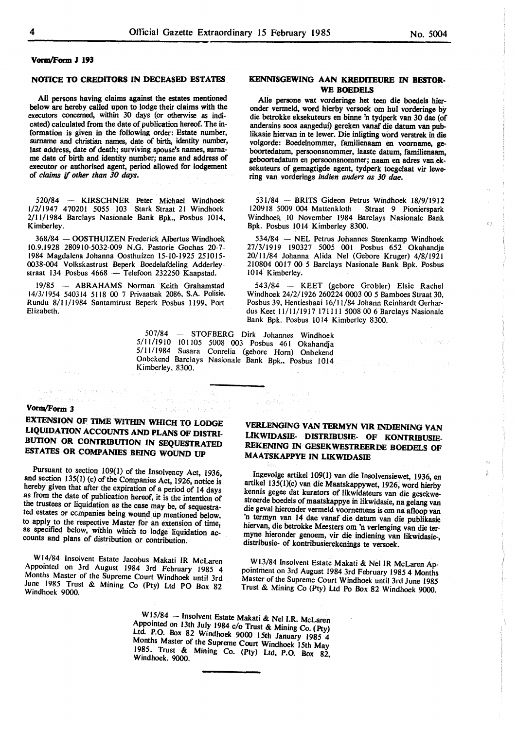kindere i Standard i

 $\mathcal{O}$  )

GX. ÷

### **VonwF'orm J 193**

#### **NOTICE TO CREDITORS** IN **DECEASED ESTATES**

All persons having claims against the estates mentioned below are hereby called upon to lodge their claims with the executors concerned, within 30 days (or otherwise as indicated) calculated from the date of publication hereof. The information is given in the following order: Estate number, surname and christian names, date of birth, identity number, last address, date of death; surviving spouse's names, surname date of birth and identity number; name and address of executor or authorised agent, period allowed for lodgement of *claims* if *other than 30 days.* 

520/84 - KIRSCHNER Peter Michael Windhoek 1/2/1947 470201 *5055* 103 Stark Straat 21 Windhoek 2/11/1984 Barclays Nasionale Bank Bpk., Posbus 1014, Kimberley.

368/84 - OOSTHUIZEN Frederick Albertus Windhoek 10.9.1928 280910-5032-009 N.G. Pastorie Gochas 20-7- 1984 Magdalena Johanna Oosthuizen 15-10-1925 251015- 0038-004 Volkskastrust Beperk Boedelafdeling Adderleystraat 134 Posbus 4668 - Telefoon 232250 Kaapstad.

19/85 - **ABRAHAMS** Norman Keith Grahamstad 14/3/1954 540314 5118 00 7 Privaatsak 2086, S.A Polisie. Rundu 8/11/1984 Santamtrust Beperk Posbus 1199, Port Elizabeth.

# **KENNISGEWING AAN KREDITEURE** IN **BESTOR-WE BOEDELS**

Alie persone wat vorderinge bet teen die boedels hieronder vermeld, word hierby versoek om hul vorderinge by die betrokke eksekuteurs en binne 'n tydperk van 30 dae (of andersins soos aangedui) gereken vanaf die datum van publikasie hiervan in te Iewer. Die inligting word verstrek in die volgorde: Boedelnommer, familienaam en voomame, geboortedatum, persoonsnommer, laaste datum, familienaam, geboortedatum en persoonsnommer; naam en adres van eksekuteurs of gemagtigde agent, tydperk toegelaat vir lewering van vorderings *indien anders as 30 dae.* 

531/84 - BRITS Gideon Petrus Windhoek 18/9/1912 120918 5009 004 Mattenk loth Straat 9 Pionierspark Windhoek 10 November 1984 Barclays Nasionale Bank Bpk. Posbus IO 14 Kimberley 8300.

534/84 - NEL Petrus Johannes Steenkamp Windhoek 27/3/1919 190327 5005 001 Posbus 652 Okahandja 20/11/84 Johanna Alida Nel (Gebore Kruger) 4/8/1921 210804 0017 00 *5* Barclays Nasionale Bank Bpk. Posbus 1014 Kimberley.

543/84 - KEET (gebore Grobler) Elsie Rachel Windhoek 24/2/1926 260224 0003 00 *5* Bamboes Straat 30, Posbus 39, Hentiesbaai 16/11/84 Johann Reinhardt Gerhardus Keet 11 /II/ 1917 171111 5008 00 6 Barclays Nasionale Bank Bpk. Posbus IO 14 Kimberley 8300.

507/84 - STOFBERG Dirk Johannes Windhoek *5/* 11/ 1910 IO 1 !05 5008 003 Posbus 46 I Okahandja 5/11/1984 Susara Conrelia (gebore Horn) Onbekend Onbekend Barclays Nasionale Bank Bpk., Posbus 1014 Kimberley, 8300.

t e molton

 $\Delta \sqrt{2\pi}$ 

# **Vorm/Form 3**

And Inches (Mill and Haller ). na silvel na

# **EXTENSION OF** TIME **WITHIN WHICH TO LODGE LIQUIDATION ACCOUNTS AND PLANS OF DISTRI-BUilON OR CONfRlBUTION IN SEQUESTRATED ESTATES OR COMPANIES BEING WOUND UP**

Pursuant to section 109(1) of the Insolvency Act, 1936, and section 135(1) (c) of the Companies Act, 1926, notice is hereby given that after the expiration of a period of 14 days as from the date of publication hereof, it is the intention of the trustees or liquidation as the case may be, of sequestrated estates or ccmpanies being wound up mentioned below. to apply to the respective Master for an extension of time, as specified below, within which to lodge liquidation accounts and plans of distribution or contribution.

W l 4/84 Insolvent Estate Jacobus Makati IR McLaren Appointed on 3rd August 1984 3rd February 1985 4 Months Master of the Supreme Court Windhoek until 3rd June 1985 Trust & Mining Co (Pty) Ltd PO Box 82 Windhoek 9000.

# **VERLENGING VAN TERMYN VIR INDIENING VAN LIKWIDASIE- DISTRIBUSIE- OF KONTRIBUSIE-REKENING IN GESEKWESTREERDE BOEDELS OF MAATSKAPPYE** IN **LIKWIDASIE**

Ingevolge artikel 109(1) van die Insolvensiewet, 1936, en artikel 135(l)(c) van die Maatskappywet, 1926; word hierby kennis gegee dat kurators of likwidateurs van die gesekwestreerde boedels of maatskappye in likwidasie, na gelang van die geval hieronder venneld voornemens is om na afloop van 'n termyn van 14 dae vanaf die datum van die publikasie hiervan, die betrokke Meesters om 'n verlenging van die termyne hieronder genoem, vir die indiening van likwidasie~, distribusie- of kontribusierekenings te versoek.

W13/84 Insolvent Estate Makati & Nel IR McLaren Appointment on 3rd August 1984 3rd February 1985 4 Months Master of the Supreme Court Windhoek until 3rd June 1985 Trust & Mining Co (Pty) Ltd Po Box 82 Windhoek 9000.

 $\alpha$ 

W15/84 - Insolvent Estate Makati & Nel I.R. McLaren Appointed on 13th July 1984 c/o Trust & Mining Co. (Pty) Ltd P.O. Box 82 Windhoek 9000 I.5th January 1985 4 Months Master of the Supreme Court Windhoek 15th May 1985. Trust & Mining Co. (Pty) Ltd. P.O. Box 82, Windhoek. 9000.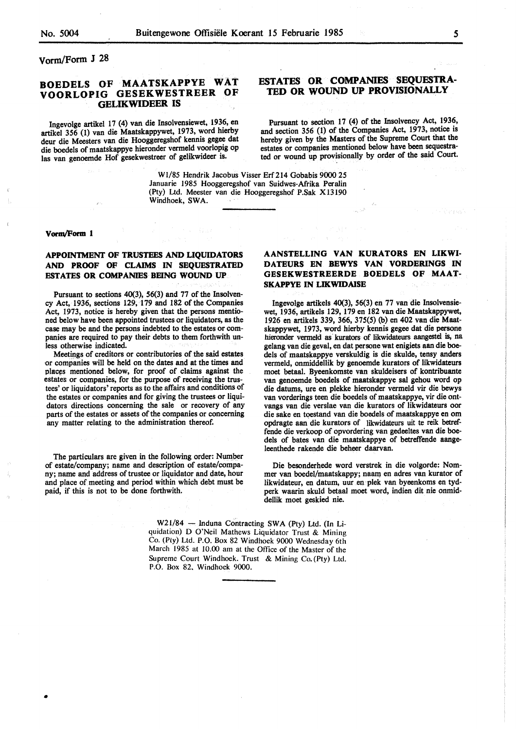vorm/Form J 28

# **BOEDELS OF MAATSKAPPYE WAT VOORLOPIG GESEKWESTREER OF GELIKWIDEER IS**

Ingevolge artikel 17 (4) van die Insolvensiewet, 1936, en artikel 356 (1) van die Maatskappywet, 1973, word hierby deur die Meesters van die Hooggeregshof kennis gegee dat die boedels of maatskappye hieronder vermeld voorlopig op las van genoemde Hof gesekwestreer of gelikwideer is.

# **ESTATES OR COMPANIES SEQUESTRA-TED OR WOUND UP PROVISIONALLY**

Pursuant to section 17 (4) of the Insolvency Act, 1936, and section 356 (1) of the Companies Act, 1973, notice is hereby given by the Masters of the Supreme Court that the estates or companies mentioned below have been sequestrated or wound up provisionally by order of the said Court.

W1/85 Hendrik Jacobus Visser Erf 214 Gobabis 9000 25 Januarie 1985 Hooggeregshof van Suidwes-Afrika Peralin (Pty) Ud. Meester van die Hooggeregshof P.Sak Xl3190 Windhoek, SWA.

### **Vorm/Form 1**

•

# **APPOINTMENT OF TRUSTEES AND LIQUIDATORS AND PROOF OF CLAIMS** IN **SEQUESTRATED ESTATES OR COMPANIES BEING WOUND UP**

Pursuant to sections 40(3), 56(3) and 77 of the Insolvency Act, 1936, sections 129, 179 and 182 of the Companies Act, 1973, notice is hereby given that the persons mentioned below have been appointed trustees or liquidators, as the case may be and the persons indebted to the estates or companies are required to pay their debts to them forthwith unless otherwise indicated.

Meetings of creditors or contributories of the said estates or companies will be held on the dates and at the times and places mentioned below, for proof of claims against the estates or companies, for the purpose of receiving the trustees' or liquidators' reports as to the affairs and conditions of the estates or companies and for giving the trustees or liquidators directions concerning the sale or recovery of any parts of the estates or assets of the companies or concerning any matter relating to the administration thereof.

The particulars are given in the following order: Number of estate/company; name and description of estate/company; name and address of trustee or liquidator and date, hour and place of meeting and period within which debt must be paid, if this is not to be done forthwith.

# **AANSTELLING VAN KURATORS EN LIKWI-DATEURS EN BEWYS VAN VORDERINGS** IN **GESEKWESTREERDE BOEDELS OF MAAT-SKAPPYE IN LIKWIDAISE**

lngevolge artikels 40(3), 56(3) en 77 van die lnsolvensiewet, 1936, artikels 129, 179 en 182 van die Maatskappywet, 1926 en artikels 339, 366, 375(5) (b) en 402 van die Maatskappywet, 1973, word hierby kennis **gegee** dat die persone hieronder vermeld as kurators of likwidateurs aangestel is, na gelang van die geval, en dat persone wat enigiets aan die boedels of maatskappye verskuldig is die skulde, tensy anders vermeld, onmiddellik by genoemde kurators of likwidateurs moet betaal. Byeenkomste van skuldeisers of kontribuante van genoemde boedels of maatskappye sal gehou word op die datums, ure en plekke hieronder vermeld vir die bewys van vorderings teen die boedels of maatskappye, vir die ontvangs van die verslae van die kurators of likwidateurs oor die sake en toestand van die boedels of maatskappye en om opdragte aan die kurators of likwidateurs uit te reik betreffende die verkoop of opvordering van gedeeltes van die boedels of bates van die maatskappye of betreffende aangeleenthede rakende die beheer daarvan.

Die besonderhede word verstrek in die volgorde: Nommer van boedel/maatskappy; naan) en adres van kurator of likwidateur, en datum, uur en. plek van byeenkoms en tydperk waarin skuld betaal moet word, indien dit nie onmiddellik moet geskied nie.

W21/84 - Induna Contracting SWA (Pty) Ltd. (In Liquidation) D O'Neil Mathews Liquidator Trust & Mining Co. (Pty) *Ud.* P.O. Box 82 Windhoek 9000 Wednesday 6th March 1985 at 10.00 am at the Office of the Master of the Supreme Court Windhoek. Trust & Mining Co.{Pty) Ltd. P.O. Box 82. Windhoek 9000.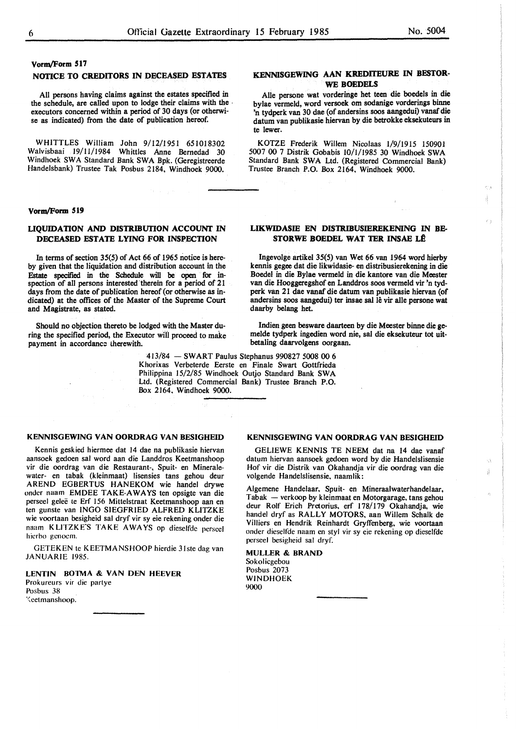# **Vorm/Form 517**

#### **NOTICE TO CREDITORS IN DECEASED ESTATES**

All persons having claims against the estates specified in the schedule, are called upon to lodge their claims with the , executors concerned within a period of 30 days (or otherwise as indicated) from the date of publication hereof.

WHITTLES William John 9/12/1951 651018302 Walvisbaai 19/11/1984 Whittles Anne Bemedad 30 Windhoek SWA Standard Bank SWA Bpk. (Geregistreerde Handelsbank) Trustee Tak Posbus 2184, Windhoek 9000.

#### **Vorm/Form 519**

## **UQUIDATION AND DISTRIBUTION ACCOUNT** IN **DECEASED ESTATE LYING FOR INSPECTION**

In terms of section 35(5) of Act 66 of 1965 notice is hereby given that the liquidation and distribution account in the Estate specified in the Schedule will be open for inspection of all persons interested therein for a period of 21 days from the date of publication hereof (or otherwise as indicated) at the offices of the Master of the Supreme Court and Magistrate, as stated.

ring the specified period, the Executor will proceed to make melde tydperk ingedien word r<br>payment in accordance therewith.  $\frac{1}{2}$  betaling daarvolgens oorgaan. payment in accordance therewith.

> 413/84 - SWART Paulus Stephanus 990827 5008 00 6 Khorixas Verbeterde Eerste en Finale Swart Gottfrieda Philippina 15/2/85 Windhoek Outjo Standard Bank SWA Ltd. (Registered Commercial Bank) Trustee Branch P.O. Box 2164, Windhoek 9000.

## **KENNISGEWING VAN OORDRAG VAN BESIGHEID**

Kennis geskied hiermee dat 14 dae na publikasie hiervan aansoek gedoen sal word aan die Landdros Keetmanshoop vir die oordrag van die Restaurant-, Spuit- en Mineralewater- en tabak (kleinmaat) lisensies tans gehou deur AREND EGBERTUS HANEKOM wie handel drywe onder naam EMDEE TAKE-AWAYS ten opsigte van die perseel gelee te Erf I 56 Mittelstraat Keetmanshoop aan en ten gunste van INGO SIEGFRIED ALFRED KLITZKE wie voortaan besigheid sal dryf vir sy eie rekening onder die naam KLITZKE'S TAKE AWAYS op dieselfde perseel hicrbo gcnocm.

GETEKEN te KEETMANSHOOP hierdie 31ste dag van JANUARIE 1985.

**LENTIN BOTMA** & **VAN DEN HEEVER**  Prokureurs vir die partye Posbus 38  $\%$ eetmanshoop.

# **KENNISGEWING AAN KREDITEURE IN BESTOR-WE BOEDELS**

Alle persone wat vorderinge bet teen die boedels in die bylae vermeld, word versoek om sodanige vorderings binne 'n tydperk van 30 dae (of andersins soos aangedui) vanaf die datum van publikasie hiervan by die betrokke eksekuteurs in te lewer.

KOTZE Frederik Willem Nicolaas 1/9/1915 150901 5007 00 7 Distrik Gobabis 10/1/1985 30 Windhoek SWA Standard Bank SWA Ltd. (Registered Commercial Bank) Trustee Branch P.O. Box 2164, Windhoek 9000.

### **LIKWIDASIE EN DISTRIBUSIEREKENING IN BE-STORWE BOEDEL WAT TER INSAE LÊ**

lngevolge artikel 35(5) van Wet 66 van 1964 word hierby kennis gegee dat die likwidasie- en distribusierekening in die Boedel in die Bylae vermeld in die kantore van die Meester van die Hooggeregshof en Landdros soos vermeld vir 'n tydperk van 21 dae vanaf die datum van publikasie hiervan (of andersins soos aangedui) ter insae sal lê vir alle persone wat daarby belang het.

Should no objection thereto be lodged with the Master du-<br>Indien geen besware daarteen by die Meester binne die ge-<br>Indien geen besware daarteen by die Meester binne die ge-<br>Indien geen besware daarteen by die Meester binn

### **KENNISGEWING VAN OORDRAG VAN BESIGHEID**

GELIEWE **KENNIS** TE NEEM dat na 14 dae vanaf datum hiervan aansoek gedoen word by die Handelslisensie Hof vir die Distrik van Okahandja vir die oordrag van die volgende Handelslisensie, naamlik:

Ó ij.

Algemene Handelaar, Spuit- en Mineraalwaterhandelaar, Tabak - verkoop by kleinmaat en Motorgarage, tans gehou deur Rolf Erich Pretorius, erf 178/179 Okahandja, wie handel dryf as RALLY MOTORS, aan Willem Schalk de Villiers en Hendrik Reinhardt Gryffenberg, wie voortaan onder dieselfde naam en styl vir sy eie rekening op dieselfde perseel besigheid sat dryf.

**MULLER** & **BRAND**  Sokolicgebou Posbus 2073 WINDHOEK 9000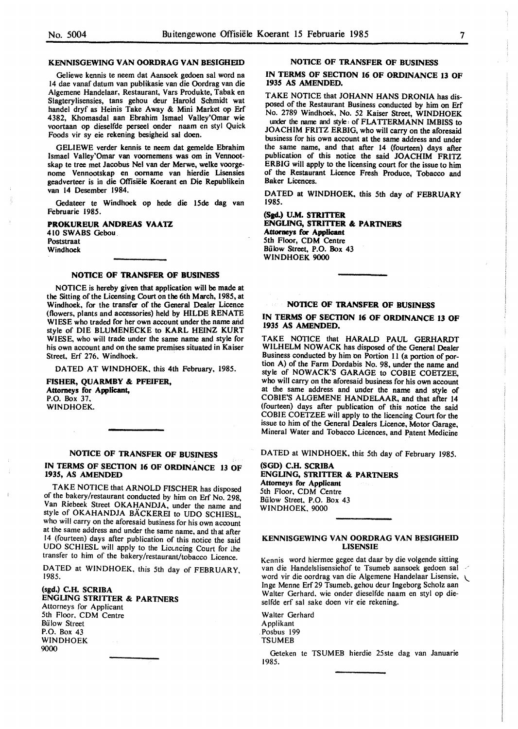Geliewe kennis te neem dat Aansoek gedoen sal word na 14 dae vanaf datum van publikasie van die Oordrag van die Algemene Handelaar, Restaurant, Vars Produkte, Tabak en Slagterylisensies, tans gehou deur Harold Schmidt wat handel dryf as Heinis Take Away & Mini Market op Erf 4382, Khomasdal aan Ebrahim Ismael Valley'Omar wie voortaan op dieselfde perseel onder naam en styl Quick Foods vir sy eie rekening besigheid sal doen.

GELIEWE verder kennis te neem dat gemelde Ebrahim Ismael Valley'Omar van voomemens was om in Vennootskap te tree met Jacobus Ne! van der Merwe, welke voorgenome Vennootskap en oomame van hierdie Lisensies geadverteer is in die Offisiele Koerant en Die Republikein van 14 Desember 1984.

Gedateer te Windhoek op hede die 15de dag van Februarie 1985.

**PROKUREUR ANDREAS VAATZ** 

4 IO SWABS Gebou Poststraat Windhoek

#### **NOTICE OF TRANSFER OF BUSINESS**

NOTICE is hereby given that application will be made at the Sitting of the Licensing Court on the 6th March, 1985, at Windhoek, for the transfer of the General Dealer Licence (flowers, plants and accessories) held by HILDE RENATE WIESE who traded for her own account under the name and style of DIE BLUMENECKE to **KARL** HEINZ KURT WIESE, who will trade under the same name and style for his own account and on the same premises situated in Kaiser Street, Erf 276, Windhoek.

DATED AT WINDHOEK. this 4th February, 1985.

**FISHER, QUARMBY** & **PFEIFER, Attorneys for Applicant,** P.O. Box 37. WINDHOEK.

# **NOTICE OF TRANSFER OF BUSINESS**

IN TERMS OF SECTION 16 OF ORDINANCE 13 OF **1935, AS AMENDED** 

TAKE NOTICE that ARNOLD FISCHER has disposed of the bakery/restaurant conducted by him on Erf No. 298, Van Riebeek Street OKAHANDJA, under the name and style of OKAHANDJA BÄCKEREI to UDO SCHIESL, who will carry on the aforesaid business for his own account at the same address and under the same name, and th at after 14 (fourteen) days after publication of this notice the said UDO SCHIESL will apply to the Licencing Court for the transfer to him of the bakery/restaurant/tobacco Licence.

DATED at WINDHOEK, this 5th day of FEBRUARY,<br>1985.

**(sgd.) C.H. SCRIBA ENGUNG STRIITER** & **PARTNERS**  Attorneys for Applicant 5th Floor. CDM Centre **Bülow Street** P.O. Box 43 WINDHOEK 9000

### **NOTICE OF TRANSFER OF BUSINESS**

## **IN TERMS OF SECTION 16 OF ORDINANCE 13 OF 1935 AS AMENDED.**

TAKE NOTICE that JOHANN HANS DRONIA has disposed of the Restaurant Business conducted by him on Erf No. 2789 Windhoek, No. 52 Kaiser Street, WINDHOEK under the name and style: of FLATTERMANN IMBISS to JOACHIM FRITZ ERBIG, who will carry on the aforesaid business for his own account at the same address and under the same name, and that after 14 (fourteen) days after publication of this notice the said JOACHIM FRITZ ERBIG will apply to the licensing court for the issue to him of the Restaurant Licence Fresh Produce, Tobacco and Baker Licences.

DATED at WINDHOEK, this 5th day of FEBRUARY 1985.

**(Sgd.) U.M. STRIITER ENGLING, STRIITER** & **PARTNERS Attomeys for Applicant**  5th Floor, COM Centre Bulow Street, P.O. Box 43 WINDHOEK 9000

### **NOTICE OF TRANSFER OF BUSINESS**

## IN TERMS OF SECTION 16 OF ORDINANCE 13 OF **1935 AS AMENDED.**

TAKE NOTICE that HARALD PAUL GERHARDT WILHELM NOWACK has disposed of the General Dealer Business conducted by him on Portion 11 (a portion of portion A) of the Farm Dordabis No. 98, under the name and style of NOWACK'S GARAGE to CODIE COETZEE, who will carry on the aforesaid business for his own account at the same address and under the name and style of COBIE'S ALGEMENE HANDELAAR, and that after 14 (fourteen) days after publication of this notice the said COBIE COETZEE will apply to the licencing Court for the issue to him of the General Dealers Licence, Motor Garage, Mineral Water and Tobacco Licences, and Patent Medicine

DATED at WINDHOEK, this 5th day of February 1985.

**(SOD) C.H. SCRIBA ENGLING, STRIITER** & **PARTNERS Attorneys for Applicant**  5th Floor, CDM Centre Bulow Street. P.O. Box 43 WINDHOEK. 9000

## KENNISGEWING VAN OORDRAG VAN BESIGHEID **LISENSIE**

Kennis word hiermee gegee dat daar by die volgende sitting van die Handelslisensiehof te Tsumeb aansoek gedoen sal word vir die oordrag van die Algemene Handelaar Lisensie, <sup>~</sup> Inge Menne Erf 29 Tsumeb. gehou deur Ingeborg Scholz aan Walter Gerhard. wie onder dieselfde naam en styl op dieselfde erf sal sake doen vir eie rekening.

Walter Gerhard Applikant .Posbus 199 TSUMEB

Geteken te TSUMEB hierdie 25ste dag van Januarie 1985.